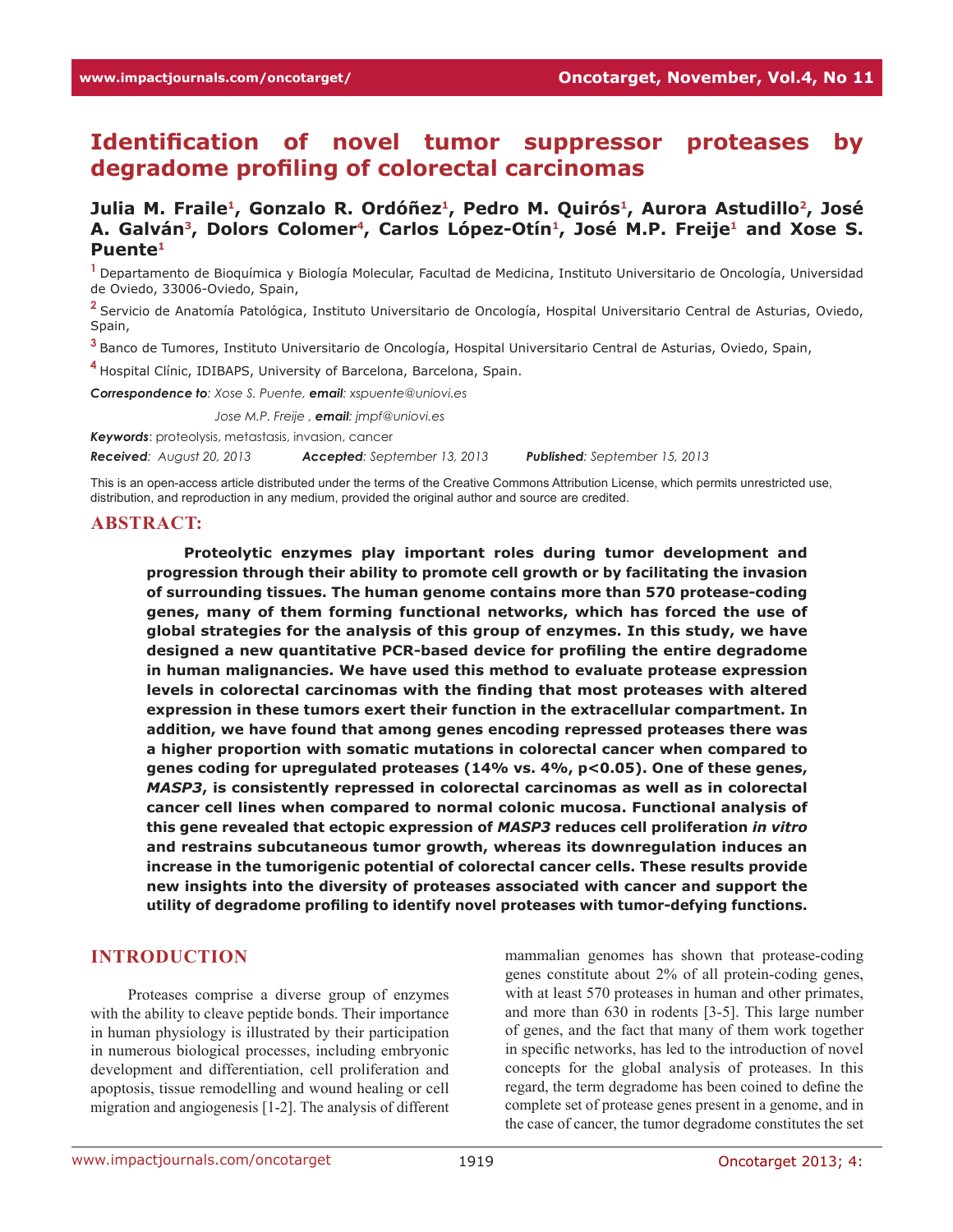# **Identification of novel tumor suppressor proteases by degradome profiling of colorectal carcinomas**

## Julia M. Fraile<sup>1</sup>, Gonzalo R. Ordóñez<sup>1</sup>, Pedro M. Quirós<sup>1</sup>, Aurora Astudillo<sup>2</sup>, José A. Galván<sup>3</sup>, Dolors Colomer<sup>4</sup>, Carlos López-Otín<sup>1</sup>, José M.P. Freije<sup>1</sup> and Xose S. **Puente1**

**<sup>1</sup>**Departamento de Bioquímica y Biología Molecular, Facultad de Medicina, Instituto Universitario de Oncología, Universidad de Oviedo, 33006-Oviedo, Spain,

**<sup>2</sup>**Servicio de Anatomía Patológica, Instituto Universitario de Oncología, Hospital Universitario Central de Asturias, Oviedo, Spain,

**<sup>3</sup>**Banco de Tumores, Instituto Universitario de Oncología, Hospital Universitario Central de Asturias, Oviedo, Spain,

**<sup>4</sup>**Hospital Clínic, IDIBAPS, University of Barcelona, Barcelona, Spain.

*Correspondence to: Xose S. Puente, email: xspuente@uniovi.es*

*Correspondence to: Jose M.P. Freije , email: jmpf@uniovi.es*

*Keywords*: proteolysis, metastasis, invasion, cancer

*Received: August 20, 2013 Accepted: September 13, 2013 Published: September 15, 2013*

This is an open-access article distributed under the terms of the Creative Commons Attribution License, which permits unrestricted use, distribution, and reproduction in any medium, provided the original author and source are credited.

#### **ABSTRACT:**

**Proteolytic enzymes play important roles during tumor development and progression through their ability to promote cell growth or by facilitating the invasion of surrounding tissues. The human genome contains more than 570 protease-coding genes, many of them forming functional networks, which has forced the use of global strategies for the analysis of this group of enzymes. In this study, we have designed a new quantitative PCR-based device for profiling the entire degradome in human malignancies. We have used this method to evaluate protease expression levels in colorectal carcinomas with the finding that most proteases with altered expression in these tumors exert their function in the extracellular compartment. In addition, we have found that among genes encoding repressed proteases there was a higher proportion with somatic mutations in colorectal cancer when compared to genes coding for upregulated proteases (14% vs. 4%, p<0.05). One of these genes,**  *MASP3***, is consistently repressed in colorectal carcinomas as well as in colorectal cancer cell lines when compared to normal colonic mucosa. Functional analysis of this gene revealed that ectopic expression of** *MASP3* **reduces cell proliferation** *in vitro*  **and restrains subcutaneous tumor growth, whereas its downregulation induces an increase in the tumorigenic potential of colorectal cancer cells. These results provide new insights into the diversity of proteases associated with cancer and support the utility of degradome profiling to identify novel proteases with tumor-defying functions.** 

#### **INTRODUCTION**

Proteases comprise a diverse group of enzymes with the ability to cleave peptide bonds. Their importance in human physiology is illustrated by their participation in numerous biological processes, including embryonic development and differentiation, cell proliferation and apoptosis, tissue remodelling and wound healing or cell migration and angiogenesis [1-2]. The analysis of different mammalian genomes has shown that protease-coding genes constitute about 2% of all protein-coding genes, with at least 570 proteases in human and other primates, and more than 630 in rodents [3-5]. This large number of genes, and the fact that many of them work together in specific networks, has led to the introduction of novel concepts for the global analysis of proteases. In this regard, the term degradome has been coined to define the complete set of protease genes present in a genome, and in the case of cancer, the tumor degradome constitutes the set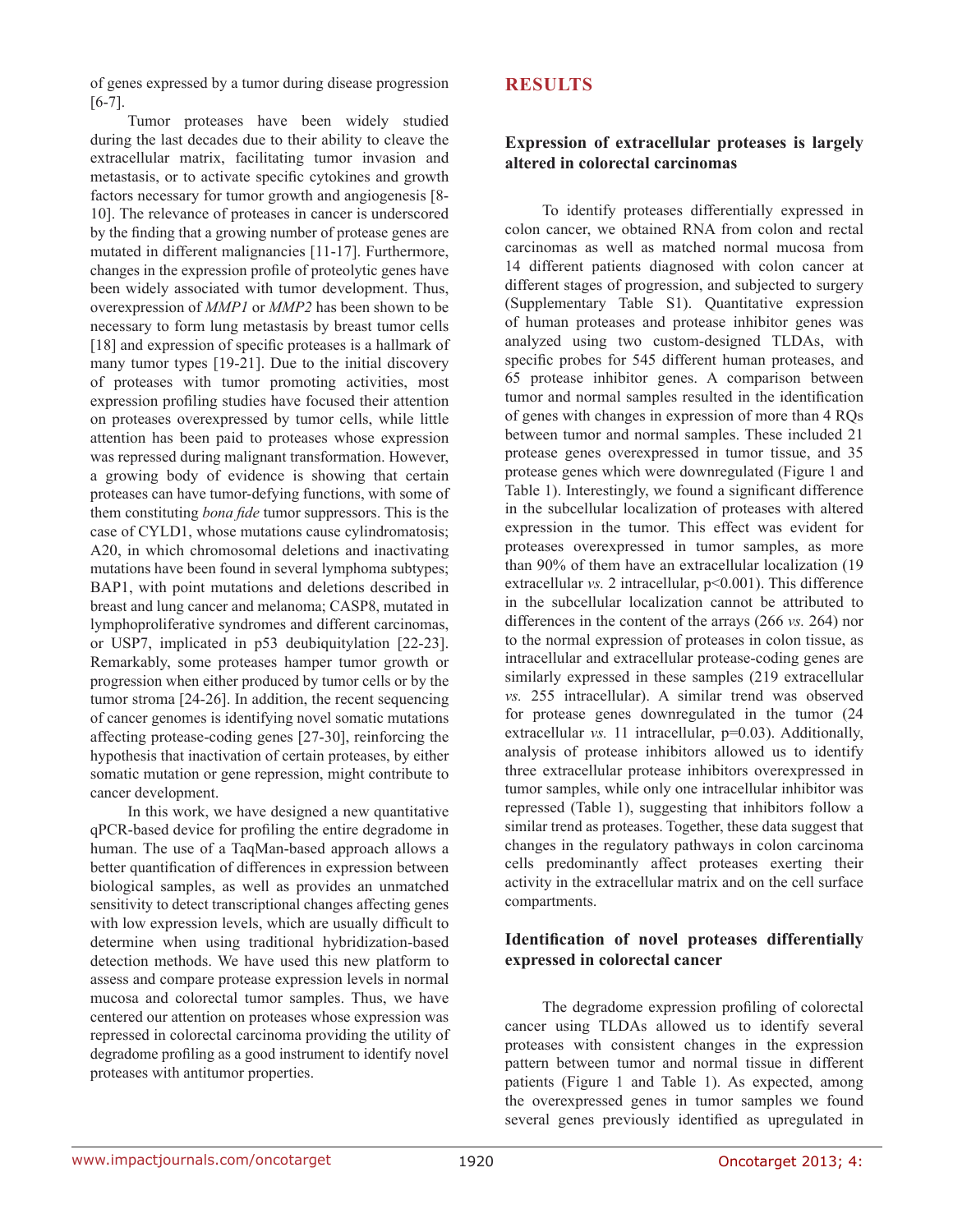of genes expressed by a tumor during disease progression [6-7].

Tumor proteases have been widely studied during the last decades due to their ability to cleave the extracellular matrix, facilitating tumor invasion and metastasis, or to activate specific cytokines and growth factors necessary for tumor growth and angiogenesis [8- 10]. The relevance of proteases in cancer is underscored by the finding that a growing number of protease genes are mutated in different malignancies [11-17]. Furthermore, changes in the expression profile of proteolytic genes have been widely associated with tumor development. Thus, overexpression of *MMP1* or *MMP2* has been shown to be necessary to form lung metastasis by breast tumor cells [18] and expression of specific proteases is a hallmark of many tumor types [19-21]. Due to the initial discovery of proteases with tumor promoting activities, most expression profiling studies have focused their attention on proteases overexpressed by tumor cells, while little attention has been paid to proteases whose expression was repressed during malignant transformation. However, a growing body of evidence is showing that certain proteases can have tumor-defying functions, with some of them constituting *bona fide* tumor suppressors. This is the case of CYLD1, whose mutations cause cylindromatosis; A20, in which chromosomal deletions and inactivating mutations have been found in several lymphoma subtypes; BAP1, with point mutations and deletions described in breast and lung cancer and melanoma; CASP8, mutated in lymphoproliferative syndromes and different carcinomas, or USP7, implicated in p53 deubiquitylation [22-23]. Remarkably, some proteases hamper tumor growth or progression when either produced by tumor cells or by the tumor stroma [24-26]. In addition, the recent sequencing of cancer genomes is identifying novel somatic mutations affecting protease-coding genes [27-30], reinforcing the hypothesis that inactivation of certain proteases, by either somatic mutation or gene repression, might contribute to cancer development.

In this work, we have designed a new quantitative qPCR-based device for profiling the entire degradome in human. The use of a TaqMan-based approach allows a better quantification of differences in expression between biological samples, as well as provides an unmatched sensitivity to detect transcriptional changes affecting genes with low expression levels, which are usually difficult to determine when using traditional hybridization-based detection methods. We have used this new platform to assess and compare protease expression levels in normal mucosa and colorectal tumor samples. Thus, we have centered our attention on proteases whose expression was repressed in colorectal carcinoma providing the utility of degradome profiling as a good instrument to identify novel proteases with antitumor properties.

## **RESULTS**

## **Expression of extracellular proteases is largely altered in colorectal carcinomas**

To identify proteases differentially expressed in colon cancer, we obtained RNA from colon and rectal carcinomas as well as matched normal mucosa from 14 different patients diagnosed with colon cancer at different stages of progression, and subjected to surgery (Supplementary Table S1). Quantitative expression of human proteases and protease inhibitor genes was analyzed using two custom-designed TLDAs, with specific probes for 545 different human proteases, and 65 protease inhibitor genes. A comparison between tumor and normal samples resulted in the identification of genes with changes in expression of more than 4 RQs between tumor and normal samples. These included 21 protease genes overexpressed in tumor tissue, and 35 protease genes which were downregulated (Figure 1 and Table 1). Interestingly, we found a significant difference in the subcellular localization of proteases with altered expression in the tumor. This effect was evident for proteases overexpressed in tumor samples, as more than 90% of them have an extracellular localization (19 extracellular *vs.* 2 intracellular,  $p<0.001$ ). This difference in the subcellular localization cannot be attributed to differences in the content of the arrays (266 *vs.* 264) nor to the normal expression of proteases in colon tissue, as intracellular and extracellular protease-coding genes are similarly expressed in these samples (219 extracellular *vs.* 255 intracellular). A similar trend was observed for protease genes downregulated in the tumor (24 extracellular *vs.* 11 intracellular, p=0.03). Additionally, analysis of protease inhibitors allowed us to identify three extracellular protease inhibitors overexpressed in tumor samples, while only one intracellular inhibitor was repressed (Table 1), suggesting that inhibitors follow a similar trend as proteases. Together, these data suggest that changes in the regulatory pathways in colon carcinoma cells predominantly affect proteases exerting their activity in the extracellular matrix and on the cell surface compartments.

## **Identification of novel proteases differentially expressed in colorectal cancer**

The degradome expression profiling of colorectal cancer using TLDAs allowed us to identify several proteases with consistent changes in the expression pattern between tumor and normal tissue in different patients (Figure 1 and Table 1). As expected, among the overexpressed genes in tumor samples we found several genes previously identified as upregulated in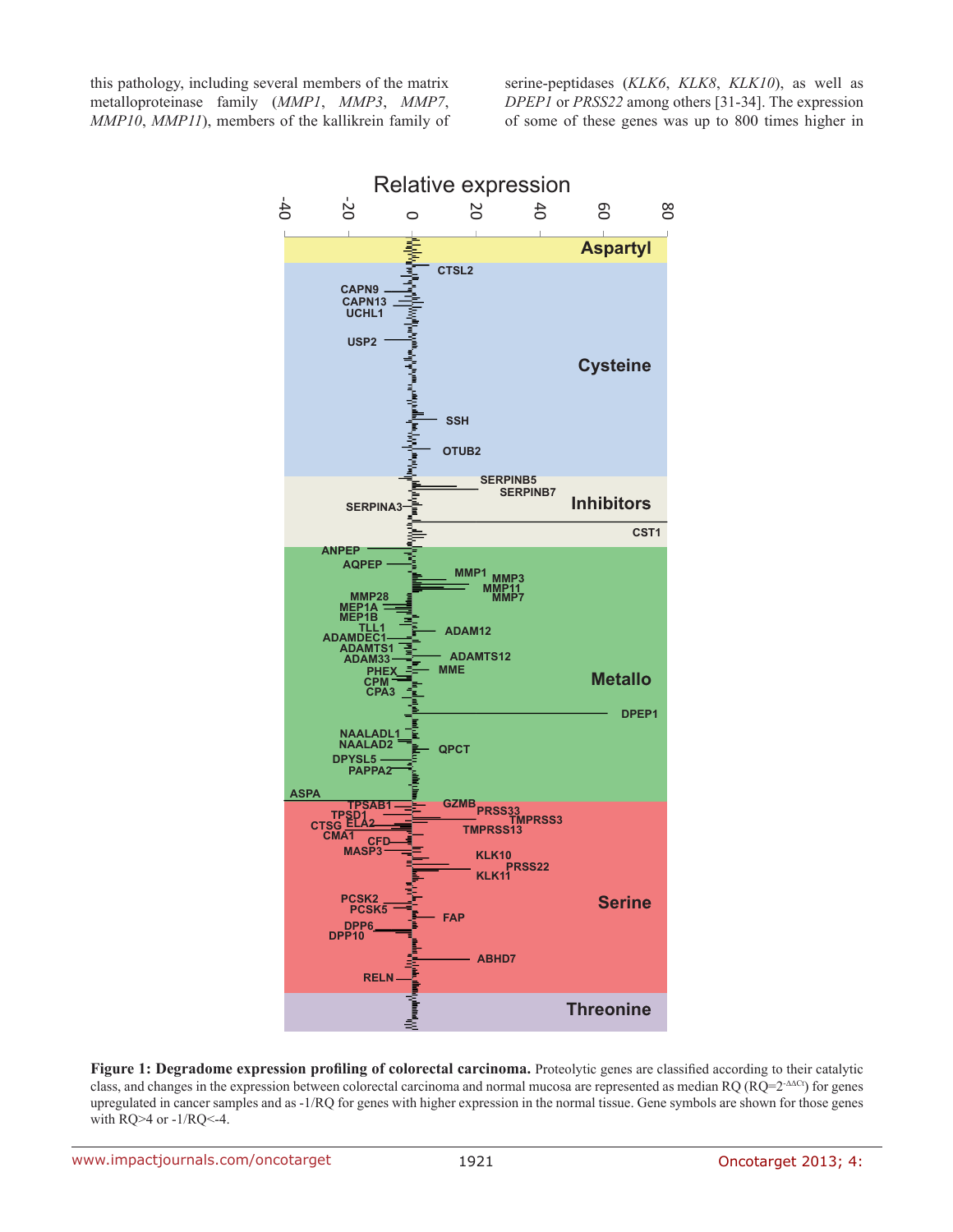this pathology, including several members of the matrix metalloproteinase family (*MMP1*, *MMP3*, *MMP7*, *MMP10*, *MMP11*), members of the kallikrein family of serine-peptidases (*KLK6*, *KLK8*, *KLK10*), as well as *DPEP1* or *PRSS22* among others [31-34]. The expression of some of these genes was up to 800 times higher in



**Figure 1: Degradome expression profiling of colorectal carcinoma.** Proteolytic genes are classified according to their catalytic class, and changes in the expression between colorectal carcinoma and normal mucosa are represented as median RQ (RQ=2-ΔΔCt) for genes upregulated in cancer samples and as -1/RQ for genes with higher expression in the normal tissue. Gene symbols are shown for those genes with RQ>4 or -1/RQ<-4.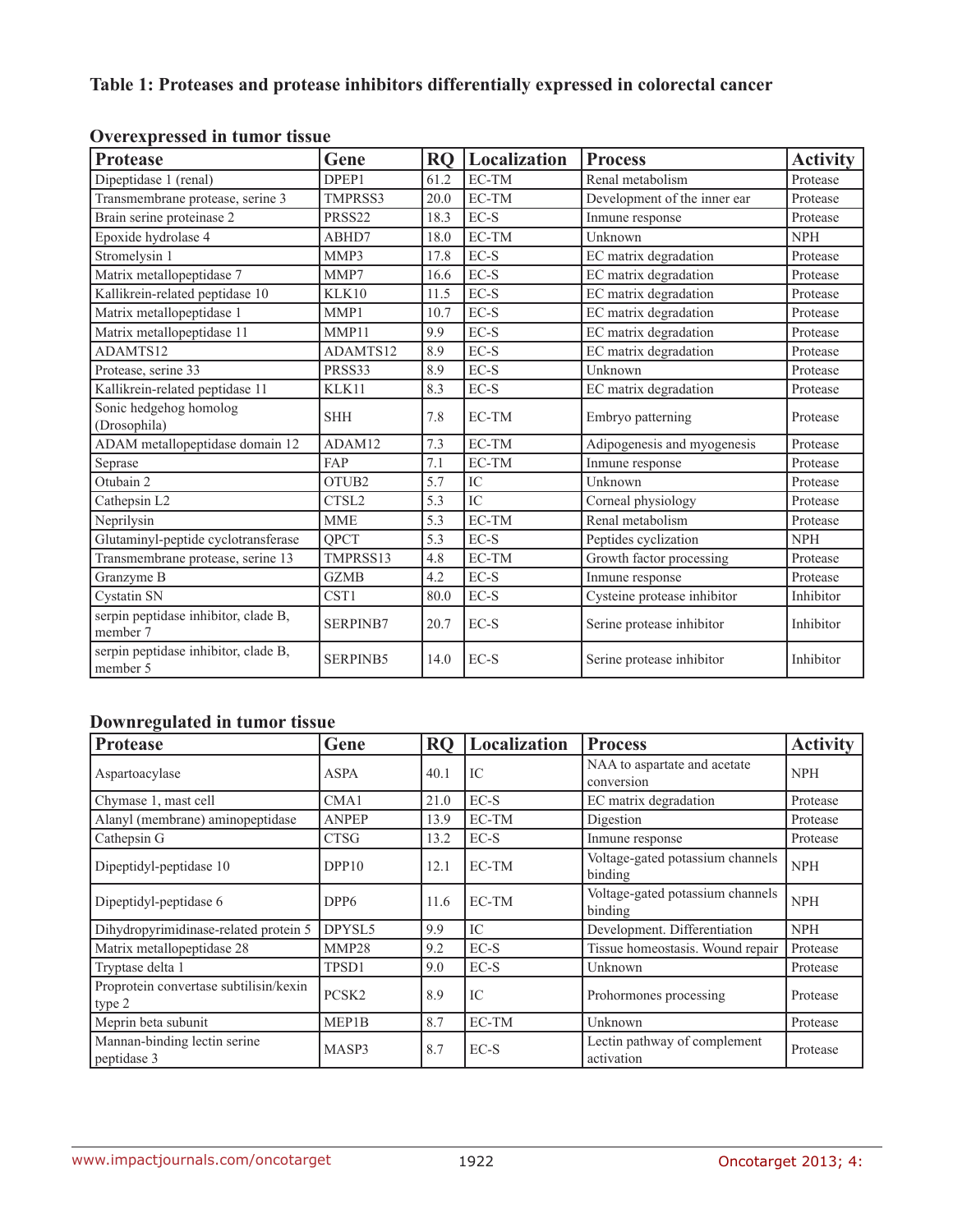## **Table 1: Proteases and protease inhibitors differentially expressed in colorectal cancer**

| <b>Protease</b>                                  | Gene               | <b>RO</b> | Localization                    | <b>Process</b>               | <b>Activity</b> |
|--------------------------------------------------|--------------------|-----------|---------------------------------|------------------------------|-----------------|
| Dipeptidase 1 (renal)                            | DPEP1              | 61.2      | EC-TM                           | Renal metabolism             | Protease        |
| Transmembrane protease, serine 3                 | TMPRSS3            | 20.0      | EC-TM                           | Development of the inner ear | Protease        |
| Brain serine proteinase 2                        | PRSS <sub>22</sub> | 18.3      | $EC-S$                          | Inmune response              | Protease        |
| Epoxide hydrolase 4                              | ABHD7              | 18.0      | EC-TM                           | Unknown                      | <b>NPH</b>      |
| Stromelysin 1                                    | MMP3               | 17.8      | EC-S                            | EC matrix degradation        | Protease        |
| Matrix metallopeptidase 7                        | MMP7               | 16.6      | $EC-S$                          | EC matrix degradation        | Protease        |
| Kallikrein-related peptidase 10                  | KLK10              | 11.5      | $\mathsf{EC}\text{-}\mathsf{S}$ | EC matrix degradation        | Protease        |
| Matrix metallopeptidase 1                        | MMP1               | 10.7      | $\mathsf{EC}\text{-}\mathsf{S}$ | EC matrix degradation        | Protease        |
| Matrix metallopeptidase 11                       | MMP11              | 9.9       | $EC-S$                          | EC matrix degradation        | Protease        |
| ADAMTS12                                         | ADAMTS12           | 8.9       | $EC-S$                          | EC matrix degradation        | Protease        |
| Protease, serine 33                              | PRSS33             | 8.9       | $\mathsf{EC}\text{-}\mathsf{S}$ | Unknown                      | Protease        |
| Kallikrein-related peptidase 11                  | KLK11              | 8.3       | EC-S                            | EC matrix degradation        | Protease        |
| Sonic hedgehog homolog<br>(Drosophila)           | <b>SHH</b>         | 7.8       | EC-TM                           | Embryo patterning            | Protease        |
| ADAM metallopeptidase domain 12                  | ADAM12             | 7.3       | EC-TM                           | Adipogenesis and myogenesis  | Protease        |
| Seprase                                          | <b>FAP</b>         | 7.1       | EC-TM                           | Inmune response              | Protease        |
| Otubain 2                                        | OTUB <sub>2</sub>  | 5.7       | IC                              | Unknown                      | Protease        |
| Cathepsin L2                                     | CTSL <sub>2</sub>  | 5.3       | IC                              | Corneal physiology           | Protease        |
| Neprilysin                                       | <b>MME</b>         | 5.3       | EC-TM                           | Renal metabolism             | Protease        |
| Glutaminyl-peptide cyclotransferase              | <b>OPCT</b>        | 5.3       | $EC-S$                          | Peptides cyclization         | <b>NPH</b>      |
| Transmembrane protease, serine 13                | TMPRSS13           | 4.8       | EC-TM                           | Growth factor processing     | Protease        |
| Granzyme B                                       | <b>GZMB</b>        | 4.2       | EC-S                            | Inmune response              | Protease        |
| Cystatin SN                                      | CST <sub>1</sub>   | 80.0      | $EC-S$                          | Cysteine protease inhibitor  | Inhibitor       |
| serpin peptidase inhibitor, clade B,<br>member 7 | <b>SERPINB7</b>    | 20.7      | EC-S                            | Serine protease inhibitor    | Inhibitor       |
| serpin peptidase inhibitor, clade B,<br>member 5 | <b>SERPINB5</b>    | 14.0      | EC-S                            | Serine protease inhibitor    | Inhibitor       |

## **Overexpressed in tumor tissue**

## **Downregulated in tumor tissue**

| Protease                                         | Gene              | <b>RQ</b> | <b>Localization</b> | <b>Process</b>                              | <b>Activity</b> |
|--------------------------------------------------|-------------------|-----------|---------------------|---------------------------------------------|-----------------|
| Aspartoacylase                                   | <b>ASPA</b>       | 40.1      | IС                  | NAA to aspartate and acetate<br>conversion  | <b>NPH</b>      |
| Chymase 1, mast cell                             | CMA1              | 21.0      | $EC-S$              | EC matrix degradation                       | Protease        |
| Alanyl (membrane) aminopeptidase                 | <b>ANPEP</b>      | 13.9      | EC-TM               | Digestion                                   | Protease        |
| Cathepsin G                                      | <b>CTSG</b>       | 13.2      | $EC-S$              | Inmune response                             | Protease        |
| Dipeptidyl-peptidase 10                          | DPP10             | 12.1      | EC-TM               | Voltage-gated potassium channels<br>binding | <b>NPH</b>      |
| Dipeptidyl-peptidase 6                           | DPP <sub>6</sub>  | 11.6      | EC-TM               | Voltage-gated potassium channels<br>binding | <b>NPH</b>      |
| Dihydropyrimidinase-related protein 5            | DPYSL5            | 9.9       | IC                  | Development. Differentiation                | <b>NPH</b>      |
| Matrix metallopeptidase 28                       | MMP28             | 9.2       | EC-S                | Tissue homeostasis. Wound repair            | Protease        |
| Tryptase delta 1                                 | TPSD1             | 9.0       | $EC-S$              | Unknown                                     | Protease        |
| Proprotein convertase subtilisin/kexin<br>type 2 | PCSK <sub>2</sub> | 8.9       | IC                  | Prohormones processing                      | Protease        |
| Meprin beta subunit                              | MEP1B             | 8.7       | EC-TM               | Unknown                                     | Protease        |
| Mannan-binding lectin serine<br>peptidase 3      | MASP3             | 8.7       | $EC-S$              | Lectin pathway of complement<br>activation  | Protease        |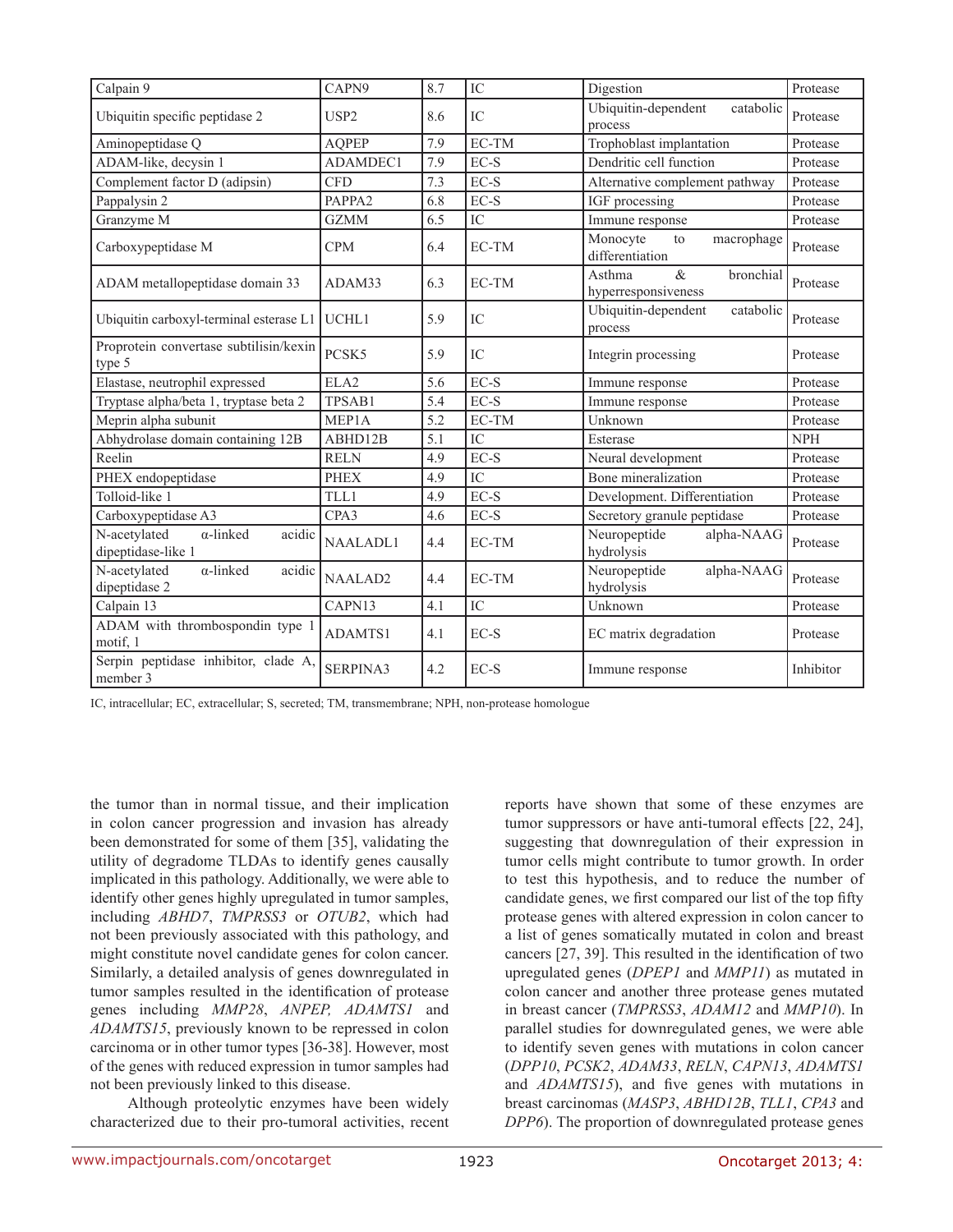| Calpain 9                                                        | CAPN9              | 8.7 | IC              | Digestion                                          | Protease   |
|------------------------------------------------------------------|--------------------|-----|-----------------|----------------------------------------------------|------------|
| Ubiquitin specific peptidase 2                                   | USP <sub>2</sub>   | 8.6 | IC              | Ubiquitin-dependent<br>catabolic<br>process        | Protease   |
| Aminopeptidase Q                                                 | <b>AQPEP</b>       | 7.9 | EC-TM           | Trophoblast implantation                           | Protease   |
| ADAM-like, decysin 1                                             | ADAMDEC1           | 7.9 | EC-S            | Dendritic cell function                            | Protease   |
| Complement factor D (adipsin)                                    | <b>CFD</b>         | 7.3 | $EC-S$          | Alternative complement pathway                     | Protease   |
| Pappalysin 2                                                     | PAPPA <sub>2</sub> | 6.8 | $EC-S$          | IGF processing                                     | Protease   |
| Granzyme M                                                       | <b>GZMM</b>        | 6.5 | IC              | Immune response                                    | Protease   |
| Carboxypeptidase M                                               | <b>CPM</b>         | 6.4 | EC-TM           | Monocyte<br>macrophage<br>to<br>differentiation    | Protease   |
| ADAM metallopeptidase domain 33                                  | ADAM33             | 6.3 | EC-TM           | $\&$<br>Asthma<br>bronchial<br>hyperresponsiveness | Protease   |
| Ubiquitin carboxyl-terminal esterase L1                          | UCHL1              | 5.9 | IC              | Ubiquitin-dependent<br>catabolic<br>process        | Protease   |
| Proprotein convertase subtilisin/kexin<br>type 5                 | PCSK5              | 5.9 | IC              | Integrin processing                                | Protease   |
| Elastase, neutrophil expressed                                   | ELA <sub>2</sub>   | 5.6 | $EC-S$          | Immune response                                    | Protease   |
| Tryptase alpha/beta 1, tryptase beta 2                           | TPSAB1             | 5.4 | EC-S            | Immune response                                    | Protease   |
| Meprin alpha subunit                                             | MEP1A              | 5.2 | EC-TM           | Unknown                                            | Protease   |
| Abhydrolase domain containing 12B                                | ABHD12B            | 5.1 | $\overline{IC}$ | Esterase                                           | <b>NPH</b> |
| Reelin                                                           | <b>RELN</b>        | 4.9 | $EC-S$          | Neural development                                 | Protease   |
| PHEX endopeptidase                                               | <b>PHEX</b>        | 4.9 | IC              | Bone mineralization                                | Protease   |
| Tolloid-like 1                                                   | TLL1               | 4.9 | $EC-S$          | Development. Differentiation                       | Protease   |
| Carboxypeptidase A3                                              | CPA3               | 4.6 | $EC-S$          | Secretory granule peptidase                        | Protease   |
| N-acetylated<br>$\alpha$ -linked<br>acidic<br>dipeptidase-like 1 | <b>NAALADL1</b>    | 4.4 | EC-TM           | Neuropeptide<br>alpha-NAAG<br>hydrolysis           | Protease   |
| N-acetylated<br>$\alpha$ -linked<br>acidic<br>dipeptidase 2      | NAALAD2            | 4.4 | EC-TM           | Neuropeptide<br>alpha-NAAG<br>hydrolysis           | Protease   |
| Calpain 13                                                       | CAPN13             | 4.1 | IC              | Unknown                                            | Protease   |
| ADAM with thrombospondin type 1<br>motif, 1                      | ADAMTS1            | 4.1 | $EC-S$          | EC matrix degradation                              | Protease   |
| Serpin peptidase inhibitor, clade A,<br>member 3                 | <b>SERPINA3</b>    | 4.2 | EC-S            | Immune response                                    | Inhibitor  |

IC, intracellular; EC, extracellular; S, secreted; TM, transmembrane; NPH, non-protease homologue

the tumor than in normal tissue, and their implication in colon cancer progression and invasion has already been demonstrated for some of them [35], validating the utility of degradome TLDAs to identify genes causally implicated in this pathology. Additionally, we were able to identify other genes highly upregulated in tumor samples, including *ABHD7*, *TMPRSS3* or *OTUB2*, which had not been previously associated with this pathology, and might constitute novel candidate genes for colon cancer. Similarly, a detailed analysis of genes downregulated in tumor samples resulted in the identification of protease genes including *MMP28*, *ANPEP, ADAMTS1* and *ADAMTS15*, previously known to be repressed in colon carcinoma or in other tumor types [36-38]. However, most of the genes with reduced expression in tumor samples had not been previously linked to this disease.

Although proteolytic enzymes have been widely characterized due to their pro-tumoral activities, recent reports have shown that some of these enzymes are tumor suppressors or have anti-tumoral effects [22, 24], suggesting that downregulation of their expression in tumor cells might contribute to tumor growth. In order to test this hypothesis, and to reduce the number of candidate genes, we first compared our list of the top fifty protease genes with altered expression in colon cancer to a list of genes somatically mutated in colon and breast cancers [27, 39]. This resulted in the identification of two upregulated genes (*DPEP1* and *MMP11*) as mutated in colon cancer and another three protease genes mutated in breast cancer (*TMPRSS3*, *ADAM12* and *MMP10*). In parallel studies for downregulated genes, we were able to identify seven genes with mutations in colon cancer (*DPP10*, *PCSK2*, *ADAM33*, *RELN*, *CAPN13*, *ADAMTS1* and *ADAMTS15*), and five genes with mutations in breast carcinomas (*MASP3*, *ABHD12B*, *TLL1*, *CPA3* and *DPP6*). The proportion of downregulated protease genes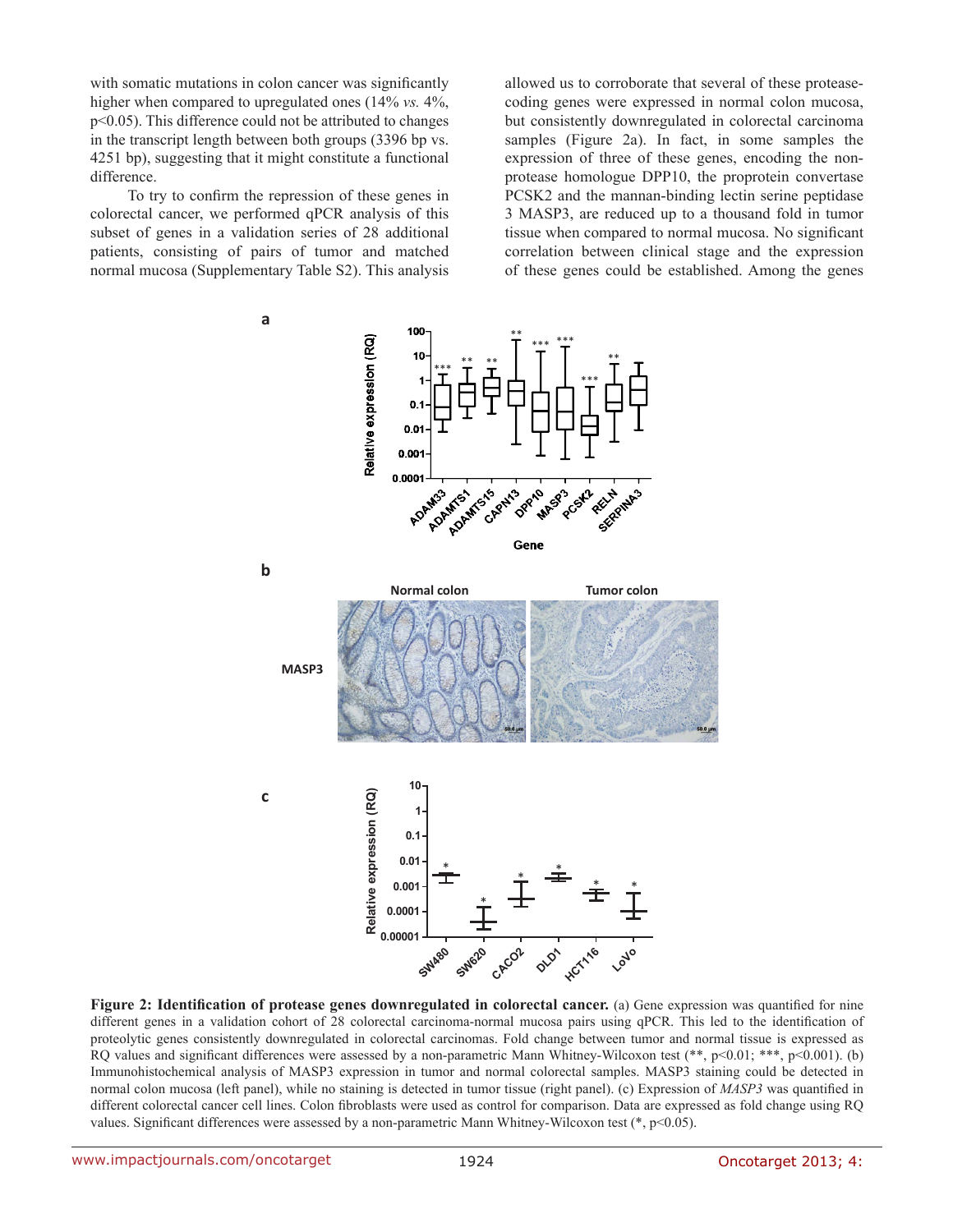with somatic mutations in colon cancer was significantly higher when compared to upregulated ones (14% *vs.* 4%, p<0.05). This difference could not be attributed to changes in the transcript length between both groups (3396 bp vs. 4251 bp), suggesting that it might constitute a functional difference.

To try to confirm the repression of these genes in colorectal cancer, we performed qPCR analysis of this subset of genes in a validation series of 28 additional patients, consisting of pairs of tumor and matched normal mucosa (Supplementary Table S2). This analysis

allowed us to corroborate that several of these proteasecoding genes were expressed in normal colon mucosa, but consistently downregulated in colorectal carcinoma samples (Figure 2a). In fact, in some samples the expression of three of these genes, encoding the nonprotease homologue DPP10, the proprotein convertase PCSK2 and the mannan-binding lectin serine peptidase 3 MASP3, are reduced up to a thousand fold in tumor tissue when compared to normal mucosa. No significant correlation between clinical stage and the expression of these genes could be established. Among the genes



**Figure 2: Identification of protease genes downregulated in colorectal cancer.** (a) Gene expression was quantified for nine different genes in a validation cohort of 28 colorectal carcinoma-normal mucosa pairs using qPCR. This led to the identification of proteolytic genes consistently downregulated in colorectal carcinomas. Fold change between tumor and normal tissue is expressed as RO values and significant differences were assessed by a non-parametric Mann Whitney-Wilcoxon test  $(*, p<0.01; **$ ,  $p<0.001$ ). (b) Immunohistochemical analysis of MASP3 expression in tumor and normal colorectal samples. MASP3 staining could be detected in normal colon mucosa (left panel), while no staining is detected in tumor tissue (right panel). (c) Expression of *MASP3* was quantified in different colorectal cancer cell lines. Colon fibroblasts were used as control for comparison. Data are expressed as fold change using RQ values. Significant differences were assessed by a non-parametric Mann Whitney-Wilcoxon test (\*, p<0.05).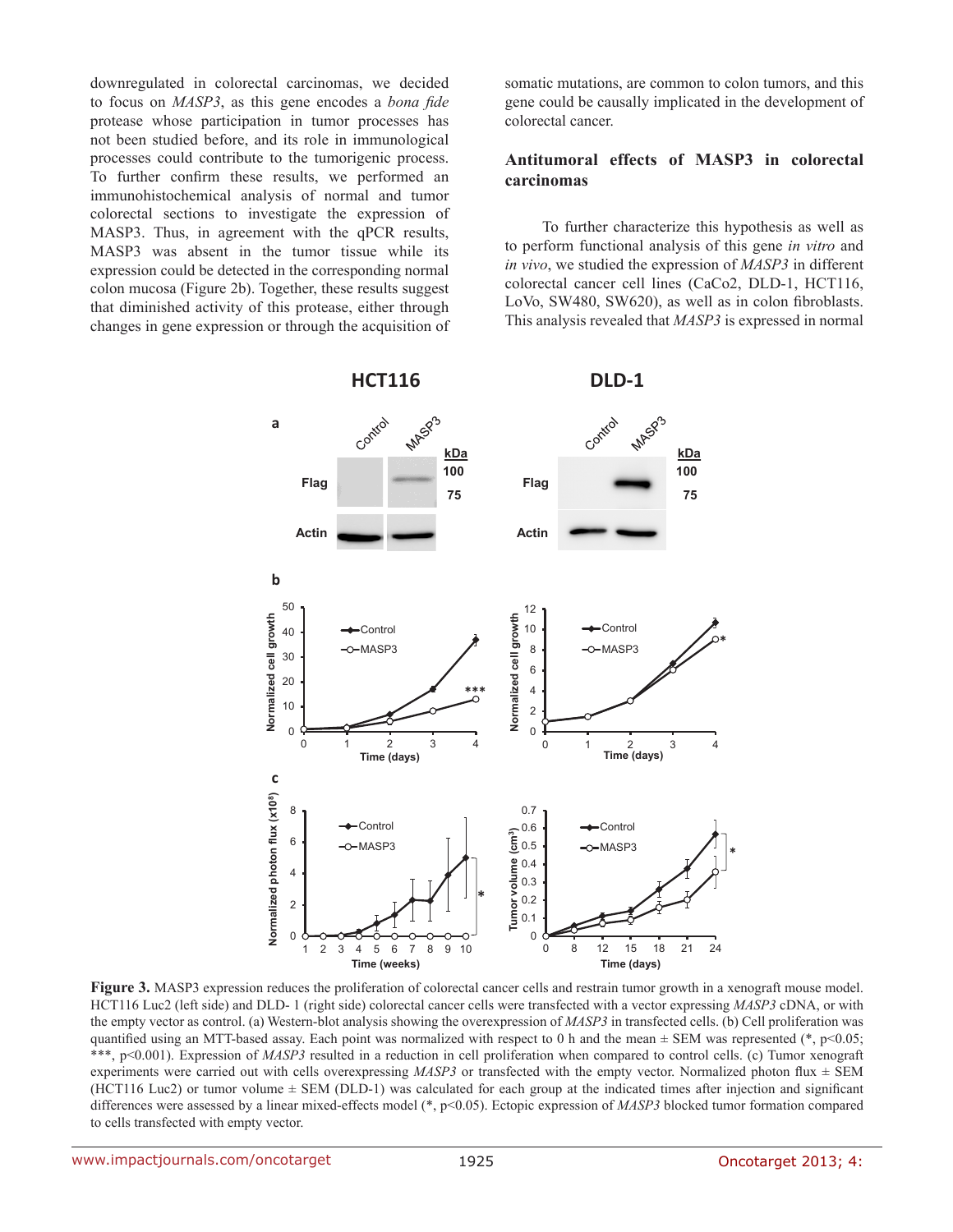downregulated in colorectal carcinomas, we decided to focus on *MASP3*, as this gene encodes a *bona fide* protease whose participation in tumor processes has not been studied before, and its role in immunological processes could contribute to the tumorigenic process. To further confirm these results, we performed an immunohistochemical analysis of normal and tumor colorectal sections to investigate the expression of MASP3. Thus, in agreement with the qPCR results, MASP3 was absent in the tumor tissue while its expression could be detected in the corresponding normal colon mucosa (Figure 2b). Together, these results suggest that diminished activity of this protease, either through changes in gene expression or through the acquisition of

somatic mutations, are common to colon tumors, and this gene could be causally implicated in the development of colorectal cancer.

#### **Antitumoral effects of MASP3 in colorectal carcinomas**

To further characterize this hypothesis as well as to perform functional analysis of this gene *in vitro* and *in vivo*, we studied the expression of *MASP3* in different colorectal cancer cell lines (CaCo2, DLD-1, HCT116, LoVo, SW480, SW620), as well as in colon fibroblasts. This analysis revealed that *MASP3* is expressed in normal



**Figure 3.** MASP3 expression reduces the proliferation of colorectal cancer cells and restrain tumor growth in a xenograft mouse model. HCT116 Luc2 (left side) and DLD- 1 (right side) colorectal cancer cells were transfected with a vector expressing *MASP3* cDNA, or with the empty vector as control. (a) Western-blot analysis showing the overexpression of *MASP3* in transfected cells. (b) Cell proliferation was quantified using an MTT-based assay. Each point was normalized with respect to 0 h and the mean  $\pm$  SEM was represented (\*, p<0.05; \*\*\*, p<0.001). Expression of *MASP3* resulted in a reduction in cell proliferation when compared to control cells. (c) Tumor xenograft experiments were carried out with cells overexpressing *MASP3* or transfected with the empty vector. Normalized photon flux  $\pm$  SEM (HCT116 Luc2) or tumor volume  $\pm$  SEM (DLD-1) was calculated for each group at the indicated times after injection and significant differences were assessed by a linear mixed-effects model (\*, p<0.05). Ectopic expression of *MASP3* blocked tumor formation compared to cells transfected with empty vector.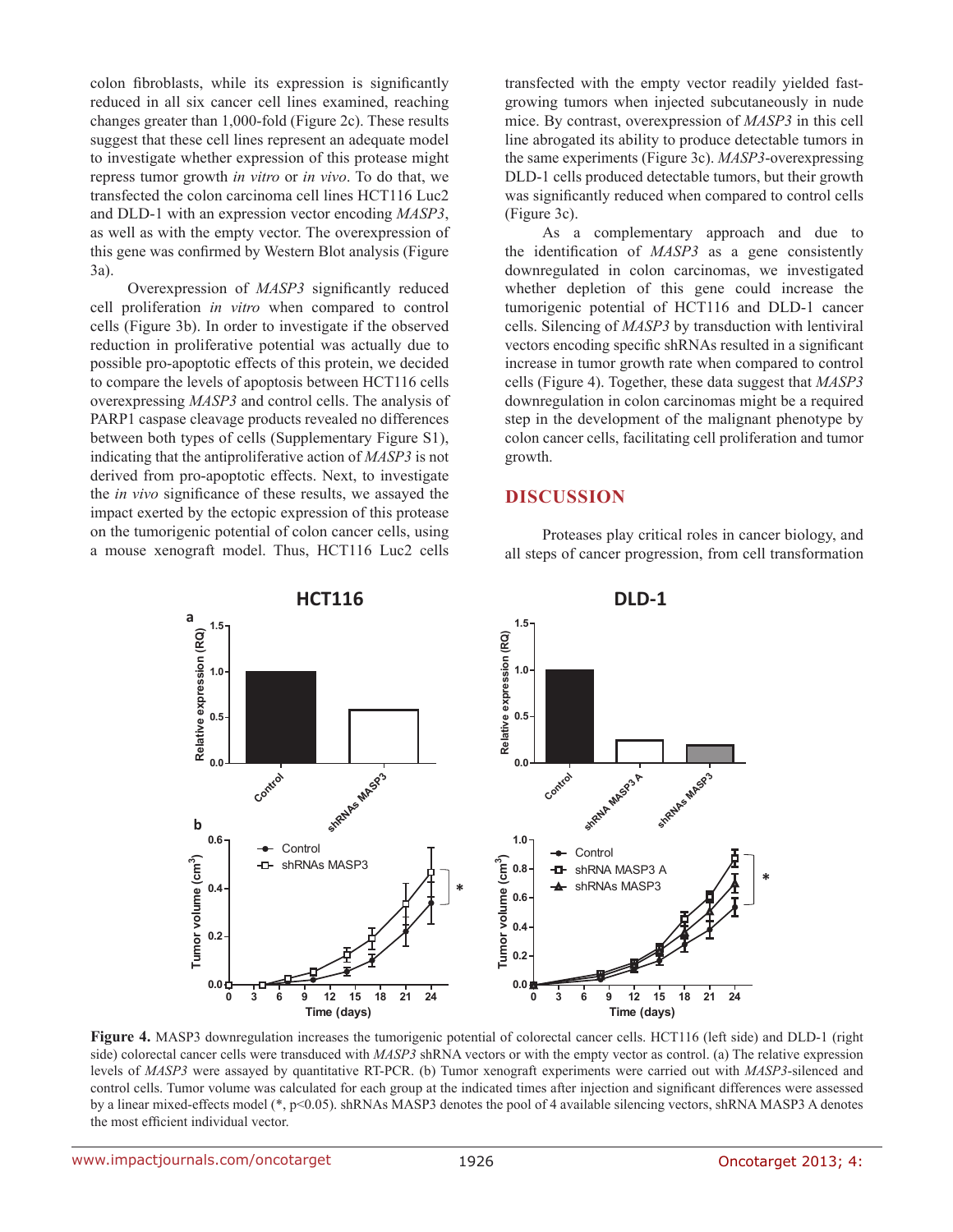colon fibroblasts, while its expression is significantly reduced in all six cancer cell lines examined, reaching changes greater than 1,000-fold (Figure 2c). These results suggest that these cell lines represent an adequate model to investigate whether expression of this protease might repress tumor growth *in vitro* or *in vivo*. To do that, we transfected the colon carcinoma cell lines HCT116 Luc2 and DLD-1 with an expression vector encoding *MASP3*, as well as with the empty vector. The overexpression of this gene was confirmed by Western Blot analysis (Figure 3a).

Overexpression of *MASP3* significantly reduced cell proliferation *in vitro* when compared to control cells (Figure 3b). In order to investigate if the observed reduction in proliferative potential was actually due to possible pro-apoptotic effects of this protein, we decided to compare the levels of apoptosis between HCT116 cells overexpressing *MASP3* and control cells. The analysis of PARP1 caspase cleavage products revealed no differences between both types of cells (Supplementary Figure S1), indicating that the antiproliferative action of *MASP3* is not derived from pro-apoptotic effects. Next, to investigate the *in vivo* significance of these results, we assayed the impact exerted by the ectopic expression of this protease on the tumorigenic potential of colon cancer cells, using a mouse xenograft model. Thus, HCT116 Luc2 cells

transfected with the empty vector readily yielded fastgrowing tumors when injected subcutaneously in nude mice. By contrast, overexpression of *MASP3* in this cell line abrogated its ability to produce detectable tumors in the same experiments (Figure 3c). *MASP3*-overexpressing DLD-1 cells produced detectable tumors, but their growth was significantly reduced when compared to control cells (Figure 3c).

As a complementary approach and due to the identification of *MASP3* as a gene consistently downregulated in colon carcinomas, we investigated whether depletion of this gene could increase the tumorigenic potential of HCT116 and DLD-1 cancer cells. Silencing of *MASP3* by transduction with lentiviral vectors encoding specific shRNAs resulted in a significant increase in tumor growth rate when compared to control cells (Figure 4). Together, these data suggest that *MASP3*  downregulation in colon carcinomas might be a required step in the development of the malignant phenotype by colon cancer cells, facilitating cell proliferation and tumor growth.

#### **DISCUSSION**

Proteases play critical roles in cancer biology, and all steps of cancer progression, from cell transformation



**Figure 4.** MASP3 downregulation increases the tumorigenic potential of colorectal cancer cells. HCT116 (left side) and DLD-1 (right side) colorectal cancer cells were transduced with *MASP3* shRNA vectors or with the empty vector as control. (a) The relative expression levels of *MASP3* were assayed by quantitative RT-PCR. (b) Tumor xenograft experiments were carried out with *MASP3*-silenced and control cells. Tumor volume was calculated for each group at the indicated times after injection and significant differences were assessed by a linear mixed-effects model (\*, p<0.05). shRNAs MASP3 denotes the pool of 4 available silencing vectors, shRNA MASP3 A denotes the most efficient individual vector.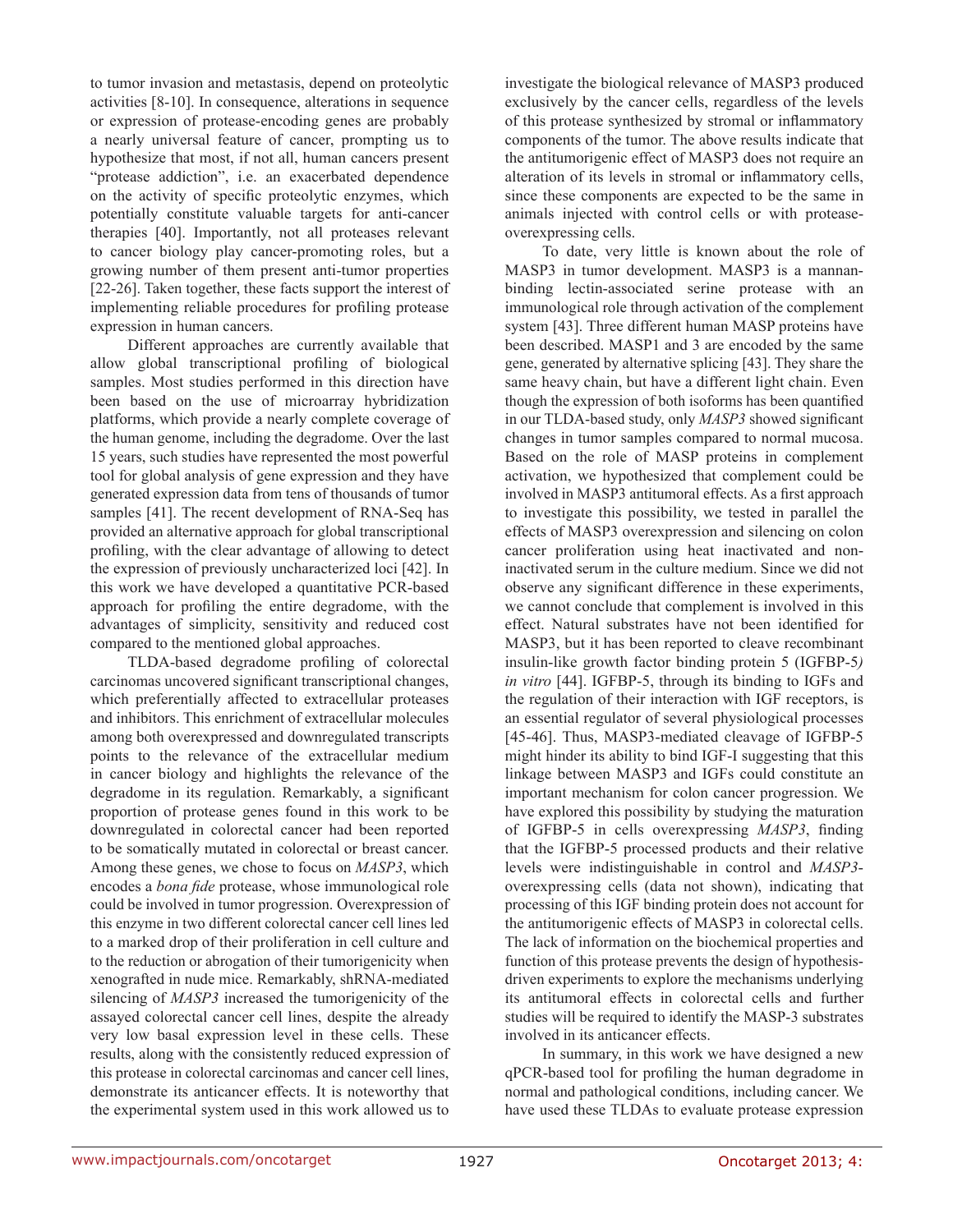to tumor invasion and metastasis, depend on proteolytic activities [8-10]. In consequence, alterations in sequence or expression of protease-encoding genes are probably a nearly universal feature of cancer, prompting us to hypothesize that most, if not all, human cancers present "protease addiction", i.e. an exacerbated dependence on the activity of specific proteolytic enzymes, which potentially constitute valuable targets for anti-cancer therapies [40]. Importantly, not all proteases relevant to cancer biology play cancer-promoting roles, but a growing number of them present anti-tumor properties [22-26]. Taken together, these facts support the interest of implementing reliable procedures for profiling protease expression in human cancers.

Different approaches are currently available that allow global transcriptional profiling of biological samples. Most studies performed in this direction have been based on the use of microarray hybridization platforms, which provide a nearly complete coverage of the human genome, including the degradome. Over the last 15 years, such studies have represented the most powerful tool for global analysis of gene expression and they have generated expression data from tens of thousands of tumor samples [41]. The recent development of RNA-Seq has provided an alternative approach for global transcriptional profiling, with the clear advantage of allowing to detect the expression of previously uncharacterized loci [42]. In this work we have developed a quantitative PCR-based approach for profiling the entire degradome, with the advantages of simplicity, sensitivity and reduced cost compared to the mentioned global approaches.

TLDA-based degradome profiling of colorectal carcinomas uncovered significant transcriptional changes, which preferentially affected to extracellular proteases and inhibitors. This enrichment of extracellular molecules among both overexpressed and downregulated transcripts points to the relevance of the extracellular medium in cancer biology and highlights the relevance of the degradome in its regulation. Remarkably, a significant proportion of protease genes found in this work to be downregulated in colorectal cancer had been reported to be somatically mutated in colorectal or breast cancer. Among these genes, we chose to focus on *MASP3*, which encodes a *bona fide* protease, whose immunological role could be involved in tumor progression. Overexpression of this enzyme in two different colorectal cancer cell lines led to a marked drop of their proliferation in cell culture and to the reduction or abrogation of their tumorigenicity when xenografted in nude mice. Remarkably, shRNA-mediated silencing of *MASP3* increased the tumorigenicity of the assayed colorectal cancer cell lines, despite the already very low basal expression level in these cells. These results, along with the consistently reduced expression of this protease in colorectal carcinomas and cancer cell lines, demonstrate its anticancer effects. It is noteworthy that the experimental system used in this work allowed us to

investigate the biological relevance of MASP3 produced exclusively by the cancer cells, regardless of the levels of this protease synthesized by stromal or inflammatory components of the tumor. The above results indicate that the antitumorigenic effect of MASP3 does not require an alteration of its levels in stromal or inflammatory cells, since these components are expected to be the same in animals injected with control cells or with proteaseoverexpressing cells.

To date, very little is known about the role of MASP3 in tumor development. MASP3 is a mannanbinding lectin-associated serine protease with an immunological role through activation of the complement system [43]. Three different human MASP proteins have been described. MASP1 and 3 are encoded by the same gene, generated by alternative splicing [43]. They share the same heavy chain, but have a different light chain. Even though the expression of both isoforms has been quantified in our TLDA-based study, only *MASP3* showed significant changes in tumor samples compared to normal mucosa. Based on the role of MASP proteins in complement activation, we hypothesized that complement could be involved in MASP3 antitumoral effects. As a first approach to investigate this possibility, we tested in parallel the effects of MASP3 overexpression and silencing on colon cancer proliferation using heat inactivated and noninactivated serum in the culture medium. Since we did not observe any significant difference in these experiments, we cannot conclude that complement is involved in this effect. Natural substrates have not been identified for MASP3, but it has been reported to cleave recombinant insulin-like growth factor binding protein 5 (IGFBP-5*) in vitro* [44]. IGFBP-5, through its binding to IGFs and the regulation of their interaction with IGF receptors, is an essential regulator of several physiological processes [45-46]. Thus, MASP3-mediated cleavage of IGFBP-5 might hinder its ability to bind IGF-I suggesting that this linkage between MASP3 and IGFs could constitute an important mechanism for colon cancer progression. We have explored this possibility by studying the maturation of IGFBP-5 in cells overexpressing *MASP3*, finding that the IGFBP-5 processed products and their relative levels were indistinguishable in control and *MASP3* overexpressing cells (data not shown), indicating that processing of this IGF binding protein does not account for the antitumorigenic effects of MASP3 in colorectal cells. The lack of information on the biochemical properties and function of this protease prevents the design of hypothesisdriven experiments to explore the mechanisms underlying its antitumoral effects in colorectal cells and further studies will be required to identify the MASP-3 substrates involved in its anticancer effects.

In summary, in this work we have designed a new qPCR-based tool for profiling the human degradome in normal and pathological conditions, including cancer. We have used these TLDAs to evaluate protease expression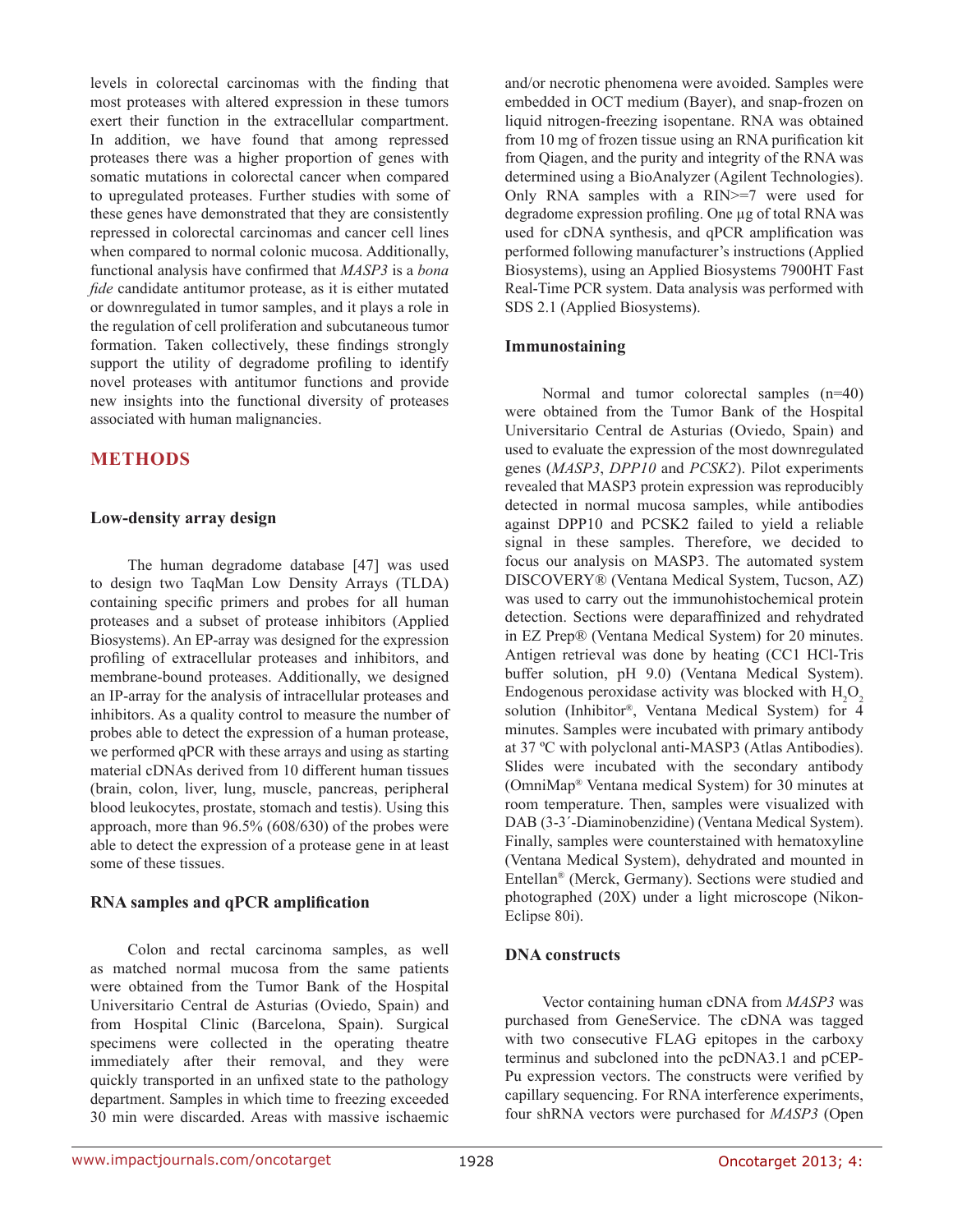levels in colorectal carcinomas with the finding that most proteases with altered expression in these tumors exert their function in the extracellular compartment. In addition, we have found that among repressed proteases there was a higher proportion of genes with somatic mutations in colorectal cancer when compared to upregulated proteases. Further studies with some of these genes have demonstrated that they are consistently repressed in colorectal carcinomas and cancer cell lines when compared to normal colonic mucosa. Additionally, functional analysis have confirmed that *MASP3* is a *bona fide* candidate antitumor protease, as it is either mutated or downregulated in tumor samples, and it plays a role in the regulation of cell proliferation and subcutaneous tumor formation. Taken collectively, these findings strongly support the utility of degradome profiling to identify novel proteases with antitumor functions and provide new insights into the functional diversity of proteases associated with human malignancies.

## **METHODS**

#### **Low-density array design**

The human degradome database [47] was used to design two TaqMan Low Density Arrays (TLDA) containing specific primers and probes for all human proteases and a subset of protease inhibitors (Applied Biosystems). An EP-array was designed for the expression profiling of extracellular proteases and inhibitors, and membrane-bound proteases. Additionally, we designed an IP-array for the analysis of intracellular proteases and inhibitors. As a quality control to measure the number of probes able to detect the expression of a human protease, we performed qPCR with these arrays and using as starting material cDNAs derived from 10 different human tissues (brain, colon, liver, lung, muscle, pancreas, peripheral blood leukocytes, prostate, stomach and testis). Using this approach, more than 96.5% (608/630) of the probes were able to detect the expression of a protease gene in at least some of these tissues.

#### **RNA samples and qPCR amplification**

Colon and rectal carcinoma samples, as well as matched normal mucosa from the same patients were obtained from the Tumor Bank of the Hospital Universitario Central de Asturias (Oviedo, Spain) and from Hospital Clinic (Barcelona, Spain). Surgical specimens were collected in the operating theatre immediately after their removal, and they were quickly transported in an unfixed state to the pathology department. Samples in which time to freezing exceeded 30 min were discarded. Areas with massive ischaemic and/or necrotic phenomena were avoided. Samples were embedded in OCT medium (Bayer), and snap-frozen on liquid nitrogen-freezing isopentane. RNA was obtained from 10 mg of frozen tissue using an RNA purification kit from Qiagen, and the purity and integrity of the RNA was determined using a BioAnalyzer (Agilent Technologies). Only RNA samples with a RIN>=7 were used for degradome expression profiling. One µg of total RNA was used for cDNA synthesis, and qPCR amplification was performed following manufacturer's instructions (Applied Biosystems), using an Applied Biosystems 7900HT Fast Real-Time PCR system. Data analysis was performed with SDS 2.1 (Applied Biosystems).

#### **Immunostaining**

Normal and tumor colorectal samples (n=40) were obtained from the Tumor Bank of the Hospital Universitario Central de Asturias (Oviedo, Spain) and used to evaluate the expression of the most downregulated genes (*MASP3*, *DPP10* and *PCSK2*). Pilot experiments revealed that MASP3 protein expression was reproducibly detected in normal mucosa samples, while antibodies against DPP10 and PCSK2 failed to yield a reliable signal in these samples. Therefore, we decided to focus our analysis on MASP3. The automated system DISCOVERY® (Ventana Medical System, Tucson, AZ) was used to carry out the immunohistochemical protein detection. Sections were deparaffinized and rehydrated in EZ Prep® (Ventana Medical System) for 20 minutes. Antigen retrieval was done by heating (CC1 HCl-Tris buffer solution, pH 9.0) (Ventana Medical System). Endogenous peroxidase activity was blocked with  $H_2O_2$ solution (Inhibitor®, Ventana Medical System) for 4 minutes. Samples were incubated with primary antibody at 37 ºC with polyclonal anti-MASP3 (Atlas Antibodies). Slides were incubated with the secondary antibody (OmniMap® Ventana medical System) for 30 minutes at room temperature. Then, samples were visualized with DAB (3-3´-Diaminobenzidine) (Ventana Medical System). Finally, samples were counterstained with hematoxyline (Ventana Medical System), dehydrated and mounted in Entellan® (Merck, Germany). Sections were studied and photographed (20X) under a light microscope (Nikon-Eclipse 80i).

#### **DNA constructs**

Vector containing human cDNA from *MASP3* was purchased from GeneService. The cDNA was tagged with two consecutive FLAG epitopes in the carboxy terminus and subcloned into the pcDNA3.1 and pCEP-Pu expression vectors. The constructs were verified by capillary sequencing. For RNA interference experiments, four shRNA vectors were purchased for *MASP3* (Open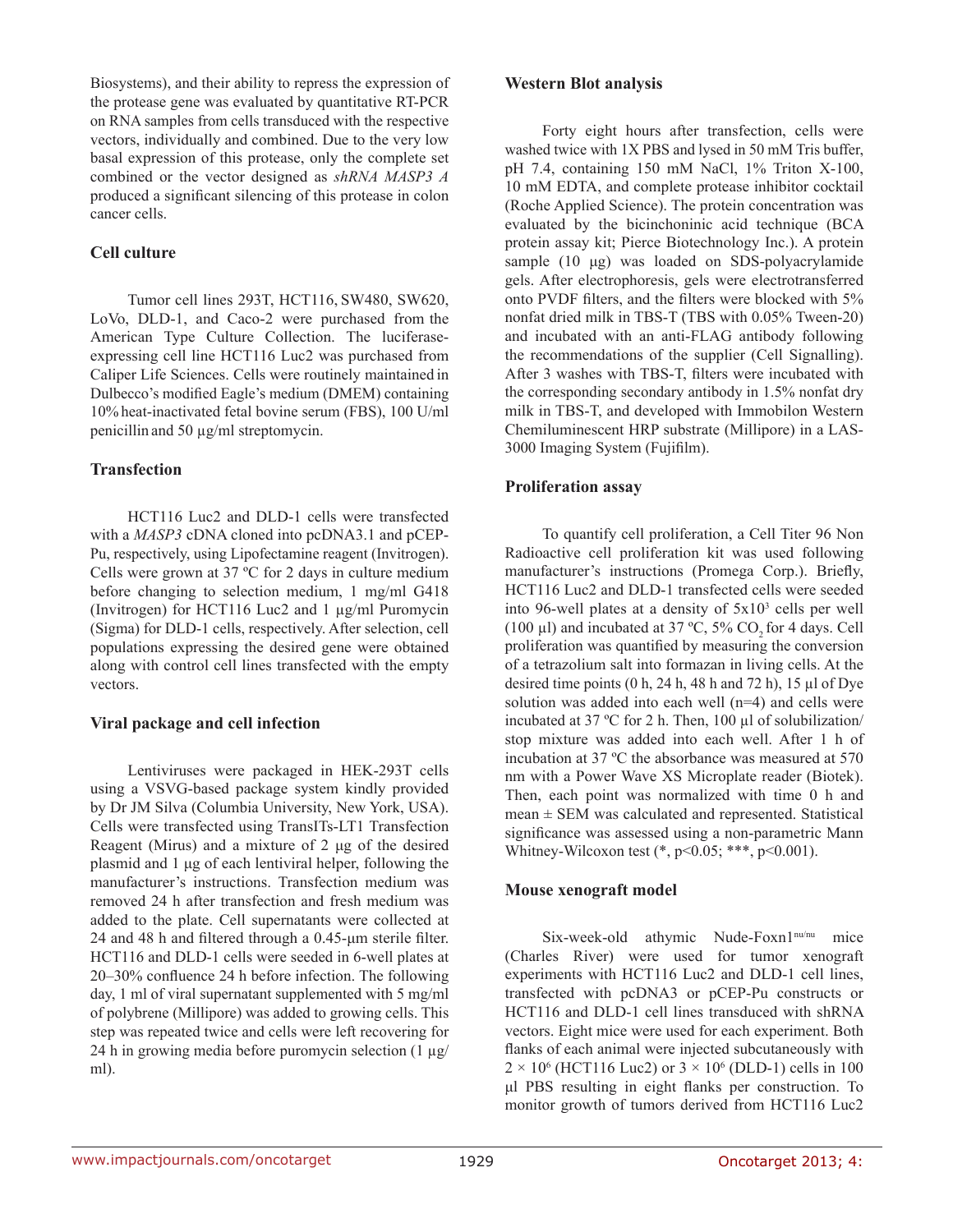Biosystems), and their ability to repress the expression of the protease gene was evaluated by quantitative RT-PCR on RNA samples from cells transduced with the respective vectors, individually and combined. Due to the very low basal expression of this protease, only the complete set combined or the vector designed as *shRNA MASP3 A* produced a significant silencing of this protease in colon cancer cells.

### **Cell culture**

Tumor cell lines 293T, HCT116, SW480, SW620, LoVo, DLD-1, and Caco-2 were purchased from the American Type Culture Collection. The luciferaseexpressing cell line HCT116 Luc2 was purchased from Caliper Life Sciences. Cells were routinely maintained in Dulbecco's modified Eagle's medium (DMEM) containing 10% heat-inactivated fetal bovine serum (FBS), 100 U/ml penicillin and 50 µg/ml streptomycin.

### **Transfection**

HCT116 Luc2 and DLD-1 cells were transfected with a *MASP3* cDNA cloned into pcDNA3.1 and pCEP-Pu, respectively, using Lipofectamine reagent (Invitrogen). Cells were grown at 37 ºC for 2 days in culture medium before changing to selection medium, 1 mg/ml G418 (Invitrogen) for HCT116 Luc2 and 1 µg/ml Puromycin (Sigma) for DLD-1 cells, respectively. After selection, cell populations expressing the desired gene were obtained along with control cell lines transfected with the empty vectors.

## **Viral package and cell infection**

Lentiviruses were packaged in HEK-293T cells using a VSVG-based package system kindly provided by Dr JM Silva (Columbia University, New York, USA). Cells were transfected using TransITs-LT1 Transfection Reagent (Mirus) and a mixture of 2 μg of the desired plasmid and 1 μg of each lentiviral helper, following the manufacturer's instructions. Transfection medium was removed 24 h after transfection and fresh medium was added to the plate. Cell supernatants were collected at 24 and 48 h and filtered through a 0.45-μm sterile filter. HCT116 and DLD-1 cells were seeded in 6-well plates at 20–30% confluence 24 h before infection. The following day, 1 ml of viral supernatant supplemented with 5 mg/ml of polybrene (Millipore) was added to growing cells. This step was repeated twice and cells were left recovering for 24 h in growing media before puromycin selection (1 µg/ ml).

### **Western Blot analysis**

Forty eight hours after transfection, cells were washed twice with 1X PBS and lysed in 50 mM Tris buffer, pH 7.4, containing 150 mM NaCl, 1% Triton X-100, 10 mM EDTA, and complete protease inhibitor cocktail (Roche Applied Science). The protein concentration was evaluated by the bicinchoninic acid technique (BCA protein assay kit; Pierce Biotechnology Inc.). A protein sample (10 μg) was loaded on SDS-polyacrylamide gels. After electrophoresis, gels were electrotransferred onto PVDF filters, and the filters were blocked with 5% nonfat dried milk in TBS-T (TBS with 0.05% Tween-20) and incubated with an anti-FLAG antibody following the recommendations of the supplier (Cell Signalling). After 3 washes with TBS-T, filters were incubated with the corresponding secondary antibody in 1.5% nonfat dry milk in TBS-T, and developed with Immobilon Western Chemiluminescent HRP substrate (Millipore) in a LAS-3000 Imaging System (Fujifilm).

## **Proliferation assay**

To quantify cell proliferation, a Cell Titer 96 Non Radioactive cell proliferation kit was used following manufacturer's instructions (Promega Corp.). Briefly, HCT116 Luc2 and DLD-1 transfected cells were seeded into 96-well plates at a density of 5x103 cells per well (100  $\mu$ l) and incubated at 37 °C, 5% CO, for 4 days. Cell proliferation was quantified by measuring the conversion of a tetrazolium salt into formazan in living cells. At the desired time points  $(0 h, 24 h, 48 h$  and  $72 h$ ),  $15 \mu l$  of Dye solution was added into each well (n=4) and cells were incubated at 37 ºC for 2 h. Then, 100 µl of solubilization/ stop mixture was added into each well. After 1 h of incubation at 37 ºC the absorbance was measured at 570 nm with a Power Wave XS Microplate reader (Biotek). Then, each point was normalized with time 0 h and mean ± SEM was calculated and represented. Statistical significance was assessed using a non-parametric Mann Whitney-Wilcoxon test  $(*, p<0.05; **, p<0.001)$ .

## **Mouse xenograft model**

Six-week-old athymic Nude-Foxn1nu/nu mice (Charles River) were used for tumor xenograft experiments with HCT116 Luc2 and DLD-1 cell lines, transfected with pcDNA3 or pCEP-Pu constructs or HCT116 and DLD-1 cell lines transduced with shRNA vectors. Eight mice were used for each experiment. Both flanks of each animal were injected subcutaneously with  $2 \times 10^6$  (HCT116 Luc2) or  $3 \times 10^6$  (DLD-1) cells in 100 μl PBS resulting in eight flanks per construction. To monitor growth of tumors derived from HCT116 Luc2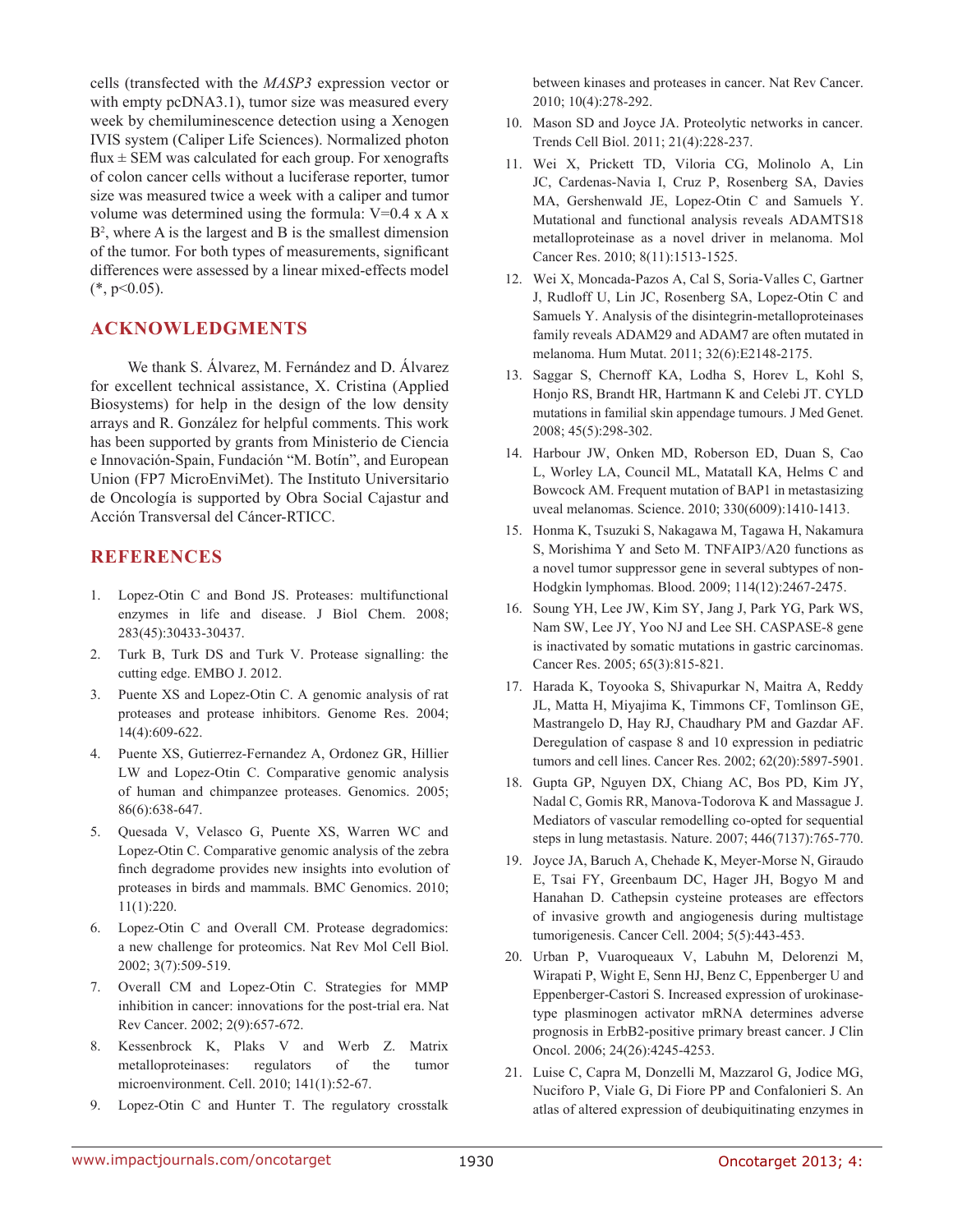cells (transfected with the *MASP3* expression vector or with empty pcDNA3.1), tumor size was measured every week by chemiluminescence detection using a Xenogen IVIS system (Caliper Life Sciences). Normalized photon flux  $\pm$  SEM was calculated for each group. For xenografts of colon cancer cells without a luciferase reporter, tumor size was measured twice a week with a caliper and tumor volume was determined using the formula: V=0.4 x A x B2 , where A is the largest and B is the smallest dimension of the tumor. For both types of measurements, significant differences were assessed by a linear mixed-effects model  $(*, p<0.05).$ 

### **ACKNOWLEDGMENTS**

We thank S. Álvarez, M. Fernández and D. Álvarez for excellent technical assistance, X. Cristina (Applied Biosystems) for help in the design of the low density arrays and R. González for helpful comments. This work has been supported by grants from Ministerio de Ciencia e Innovación-Spain, Fundación "M. Botín", and European Union (FP7 MicroEnviMet). The Instituto Universitario de Oncología is supported by Obra Social Cajastur and Acción Transversal del Cáncer-RTICC.

## **REFERENCES**

- 1. Lopez-Otin C and Bond JS. Proteases: multifunctional enzymes in life and disease. J Biol Chem. 2008; 283(45):30433-30437.
- 2. Turk B, Turk DS and Turk V. Protease signalling: the cutting edge. EMBO J. 2012.
- 3. Puente XS and Lopez-Otin C. A genomic analysis of rat proteases and protease inhibitors. Genome Res. 2004; 14(4):609-622.
- 4. Puente XS, Gutierrez-Fernandez A, Ordonez GR, Hillier LW and Lopez-Otin C. Comparative genomic analysis of human and chimpanzee proteases. Genomics. 2005; 86(6):638-647.
- 5. Quesada V, Velasco G, Puente XS, Warren WC and Lopez-Otin C. Comparative genomic analysis of the zebra finch degradome provides new insights into evolution of proteases in birds and mammals. BMC Genomics. 2010; 11(1):220.
- 6. Lopez-Otin C and Overall CM. Protease degradomics: a new challenge for proteomics. Nat Rev Mol Cell Biol. 2002; 3(7):509-519.
- 7. Overall CM and Lopez-Otin C. Strategies for MMP inhibition in cancer: innovations for the post-trial era. Nat Rev Cancer. 2002; 2(9):657-672.
- 8. Kessenbrock K, Plaks V and Werb Z. Matrix metalloproteinases: regulators of the tumor microenvironment. Cell. 2010; 141(1):52-67.
- 9. Lopez-Otin C and Hunter T. The regulatory crosstalk

between kinases and proteases in cancer. Nat Rev Cancer. 2010; 10(4):278-292.

- 10. Mason SD and Joyce JA. Proteolytic networks in cancer. Trends Cell Biol. 2011; 21(4):228-237.
- 11. Wei X, Prickett TD, Viloria CG, Molinolo A, Lin JC, Cardenas-Navia I, Cruz P, Rosenberg SA, Davies MA, Gershenwald JE, Lopez-Otin C and Samuels Y. Mutational and functional analysis reveals ADAMTS18 metalloproteinase as a novel driver in melanoma. Mol Cancer Res. 2010; 8(11):1513-1525.
- 12. Wei X, Moncada-Pazos A, Cal S, Soria-Valles C, Gartner J, Rudloff U, Lin JC, Rosenberg SA, Lopez-Otin C and Samuels Y. Analysis of the disintegrin-metalloproteinases family reveals ADAM29 and ADAM7 are often mutated in melanoma. Hum Mutat. 2011; 32(6):E2148-2175.
- 13. Saggar S, Chernoff KA, Lodha S, Horev L, Kohl S, Honjo RS, Brandt HR, Hartmann K and Celebi JT. CYLD mutations in familial skin appendage tumours. J Med Genet. 2008; 45(5):298-302.
- 14. Harbour JW, Onken MD, Roberson ED, Duan S, Cao L, Worley LA, Council ML, Matatall KA, Helms C and Bowcock AM. Frequent mutation of BAP1 in metastasizing uveal melanomas. Science. 2010; 330(6009):1410-1413.
- 15. Honma K, Tsuzuki S, Nakagawa M, Tagawa H, Nakamura S, Morishima Y and Seto M. TNFAIP3/A20 functions as a novel tumor suppressor gene in several subtypes of non-Hodgkin lymphomas. Blood. 2009; 114(12):2467-2475.
- 16. Soung YH, Lee JW, Kim SY, Jang J, Park YG, Park WS, Nam SW, Lee JY, Yoo NJ and Lee SH. CASPASE-8 gene is inactivated by somatic mutations in gastric carcinomas. Cancer Res. 2005; 65(3):815-821.
- 17. Harada K, Toyooka S, Shivapurkar N, Maitra A, Reddy JL, Matta H, Miyajima K, Timmons CF, Tomlinson GE, Mastrangelo D, Hay RJ, Chaudhary PM and Gazdar AF. Deregulation of caspase 8 and 10 expression in pediatric tumors and cell lines. Cancer Res. 2002; 62(20):5897-5901.
- 18. Gupta GP, Nguyen DX, Chiang AC, Bos PD, Kim JY, Nadal C, Gomis RR, Manova-Todorova K and Massague J. Mediators of vascular remodelling co-opted for sequential steps in lung metastasis. Nature. 2007; 446(7137):765-770.
- 19. Joyce JA, Baruch A, Chehade K, Meyer-Morse N, Giraudo E, Tsai FY, Greenbaum DC, Hager JH, Bogyo M and Hanahan D. Cathepsin cysteine proteases are effectors of invasive growth and angiogenesis during multistage tumorigenesis. Cancer Cell. 2004; 5(5):443-453.
- 20. Urban P, Vuaroqueaux V, Labuhn M, Delorenzi M, Wirapati P, Wight E, Senn HJ, Benz C, Eppenberger U and Eppenberger-Castori S. Increased expression of urokinasetype plasminogen activator mRNA determines adverse prognosis in ErbB2-positive primary breast cancer. J Clin Oncol. 2006; 24(26):4245-4253.
- 21. Luise C, Capra M, Donzelli M, Mazzarol G, Jodice MG, Nuciforo P, Viale G, Di Fiore PP and Confalonieri S. An atlas of altered expression of deubiquitinating enzymes in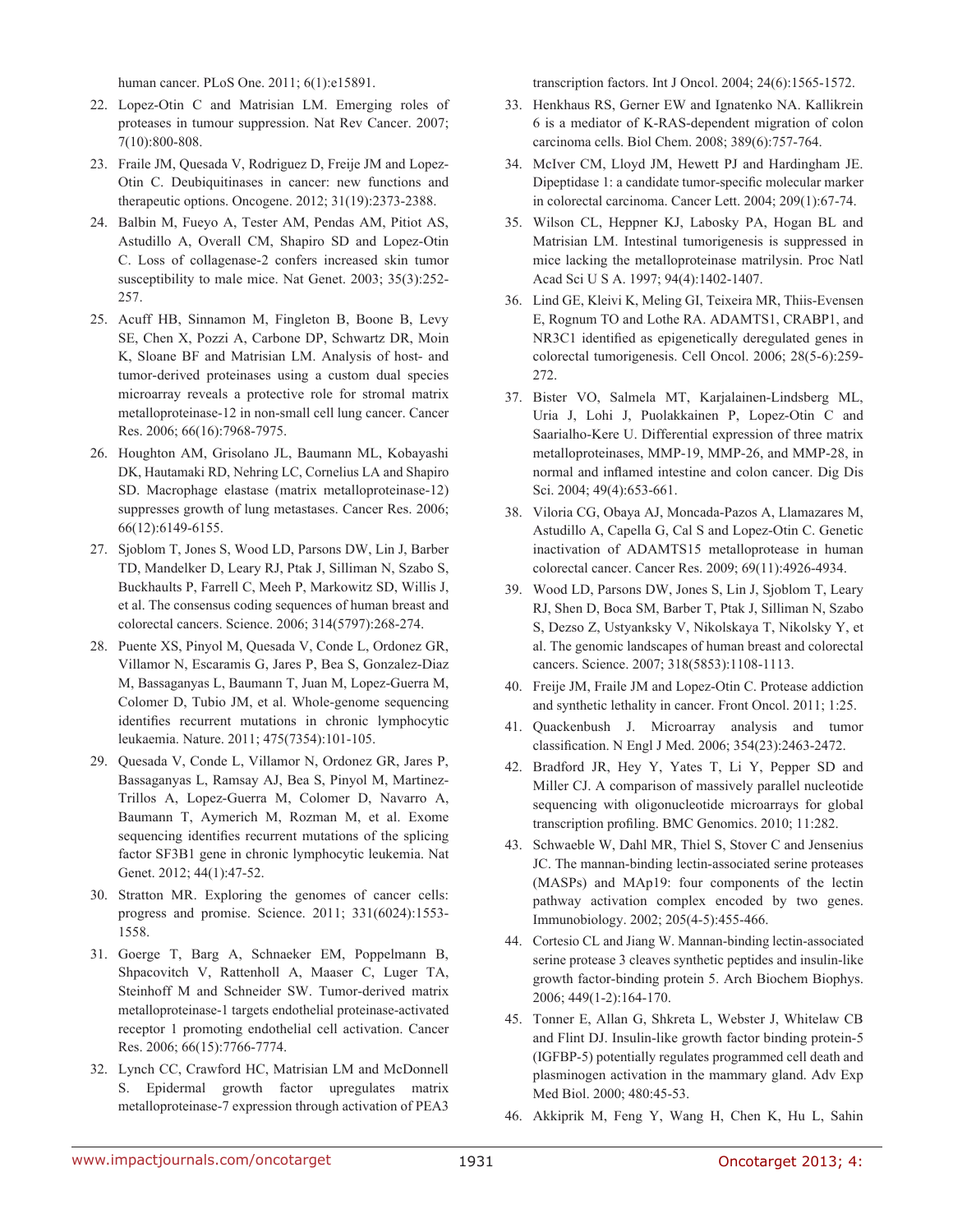human cancer. PLoS One. 2011; 6(1):e15891.

- 22. Lopez-Otin C and Matrisian LM. Emerging roles of proteases in tumour suppression. Nat Rev Cancer. 2007; 7(10):800-808.
- 23. Fraile JM, Quesada V, Rodriguez D, Freije JM and Lopez-Otin C. Deubiquitinases in cancer: new functions and therapeutic options. Oncogene. 2012; 31(19):2373-2388.
- 24. Balbin M, Fueyo A, Tester AM, Pendas AM, Pitiot AS, Astudillo A, Overall CM, Shapiro SD and Lopez-Otin C. Loss of collagenase-2 confers increased skin tumor susceptibility to male mice. Nat Genet. 2003; 35(3):252- 257.
- 25. Acuff HB, Sinnamon M, Fingleton B, Boone B, Levy SE, Chen X, Pozzi A, Carbone DP, Schwartz DR, Moin K, Sloane BF and Matrisian LM. Analysis of host- and tumor-derived proteinases using a custom dual species microarray reveals a protective role for stromal matrix metalloproteinase-12 in non-small cell lung cancer. Cancer Res. 2006; 66(16):7968-7975.
- 26. Houghton AM, Grisolano JL, Baumann ML, Kobayashi DK, Hautamaki RD, Nehring LC, Cornelius LA and Shapiro SD. Macrophage elastase (matrix metalloproteinase-12) suppresses growth of lung metastases. Cancer Res. 2006; 66(12):6149-6155.
- 27. Sjoblom T, Jones S, Wood LD, Parsons DW, Lin J, Barber TD, Mandelker D, Leary RJ, Ptak J, Silliman N, Szabo S, Buckhaults P, Farrell C, Meeh P, Markowitz SD, Willis J, et al. The consensus coding sequences of human breast and colorectal cancers. Science. 2006; 314(5797):268-274.
- 28. Puente XS, Pinyol M, Quesada V, Conde L, Ordonez GR, Villamor N, Escaramis G, Jares P, Bea S, Gonzalez-Diaz M, Bassaganyas L, Baumann T, Juan M, Lopez-Guerra M, Colomer D, Tubio JM, et al. Whole-genome sequencing identifies recurrent mutations in chronic lymphocytic leukaemia. Nature. 2011; 475(7354):101-105.
- 29. Quesada V, Conde L, Villamor N, Ordonez GR, Jares P, Bassaganyas L, Ramsay AJ, Bea S, Pinyol M, Martinez-Trillos A, Lopez-Guerra M, Colomer D, Navarro A, Baumann T, Aymerich M, Rozman M, et al. Exome sequencing identifies recurrent mutations of the splicing factor SF3B1 gene in chronic lymphocytic leukemia. Nat Genet. 2012; 44(1):47-52.
- 30. Stratton MR. Exploring the genomes of cancer cells: progress and promise. Science. 2011; 331(6024):1553- 1558.
- 31. Goerge T, Barg A, Schnaeker EM, Poppelmann B, Shpacovitch V, Rattenholl A, Maaser C, Luger TA, Steinhoff M and Schneider SW. Tumor-derived matrix metalloproteinase-1 targets endothelial proteinase-activated receptor 1 promoting endothelial cell activation. Cancer Res. 2006; 66(15):7766-7774.
- 32. Lynch CC, Crawford HC, Matrisian LM and McDonnell S. Epidermal growth factor upregulates matrix metalloproteinase-7 expression through activation of PEA3

transcription factors. Int J Oncol. 2004; 24(6):1565-1572.

- 33. Henkhaus RS, Gerner EW and Ignatenko NA. Kallikrein 6 is a mediator of K-RAS-dependent migration of colon carcinoma cells. Biol Chem. 2008; 389(6):757-764.
- 34. McIver CM, Lloyd JM, Hewett PJ and Hardingham JE. Dipeptidase 1: a candidate tumor-specific molecular marker in colorectal carcinoma. Cancer Lett. 2004; 209(1):67-74.
- 35. Wilson CL, Heppner KJ, Labosky PA, Hogan BL and Matrisian LM. Intestinal tumorigenesis is suppressed in mice lacking the metalloproteinase matrilysin. Proc Natl Acad Sci U S A. 1997; 94(4):1402-1407.
- 36. Lind GE, Kleivi K, Meling GI, Teixeira MR, Thiis-Evensen E, Rognum TO and Lothe RA. ADAMTS1, CRABP1, and NR3C1 identified as epigenetically deregulated genes in colorectal tumorigenesis. Cell Oncol. 2006; 28(5-6):259- 272.
- 37. Bister VO, Salmela MT, Karjalainen-Lindsberg ML, Uria J, Lohi J, Puolakkainen P, Lopez-Otin C and Saarialho-Kere U. Differential expression of three matrix metalloproteinases, MMP-19, MMP-26, and MMP-28, in normal and inflamed intestine and colon cancer. Dig Dis Sci. 2004; 49(4):653-661.
- 38. Viloria CG, Obaya AJ, Moncada-Pazos A, Llamazares M, Astudillo A, Capella G, Cal S and Lopez-Otin C. Genetic inactivation of ADAMTS15 metalloprotease in human colorectal cancer. Cancer Res. 2009; 69(11):4926-4934.
- 39. Wood LD, Parsons DW, Jones S, Lin J, Sjoblom T, Leary RJ, Shen D, Boca SM, Barber T, Ptak J, Silliman N, Szabo S, Dezso Z, Ustyanksky V, Nikolskaya T, Nikolsky Y, et al. The genomic landscapes of human breast and colorectal cancers. Science. 2007; 318(5853):1108-1113.
- 40. Freije JM, Fraile JM and Lopez-Otin C. Protease addiction and synthetic lethality in cancer. Front Oncol. 2011; 1:25.
- 41. Quackenbush J. Microarray analysis and tumor classification. N Engl J Med. 2006; 354(23):2463-2472.
- 42. Bradford JR, Hey Y, Yates T, Li Y, Pepper SD and Miller CJ. A comparison of massively parallel nucleotide sequencing with oligonucleotide microarrays for global transcription profiling. BMC Genomics. 2010; 11:282.
- 43. Schwaeble W, Dahl MR, Thiel S, Stover C and Jensenius JC. The mannan-binding lectin-associated serine proteases (MASPs) and MAp19: four components of the lectin pathway activation complex encoded by two genes. Immunobiology. 2002; 205(4-5):455-466.
- 44. Cortesio CL and Jiang W. Mannan-binding lectin-associated serine protease 3 cleaves synthetic peptides and insulin-like growth factor-binding protein 5. Arch Biochem Biophys. 2006; 449(1-2):164-170.
- 45. Tonner E, Allan G, Shkreta L, Webster J, Whitelaw CB and Flint DJ. Insulin-like growth factor binding protein-5 (IGFBP-5) potentially regulates programmed cell death and plasminogen activation in the mammary gland. Adv Exp Med Biol. 2000; 480:45-53.
- 46. Akkiprik M, Feng Y, Wang H, Chen K, Hu L, Sahin